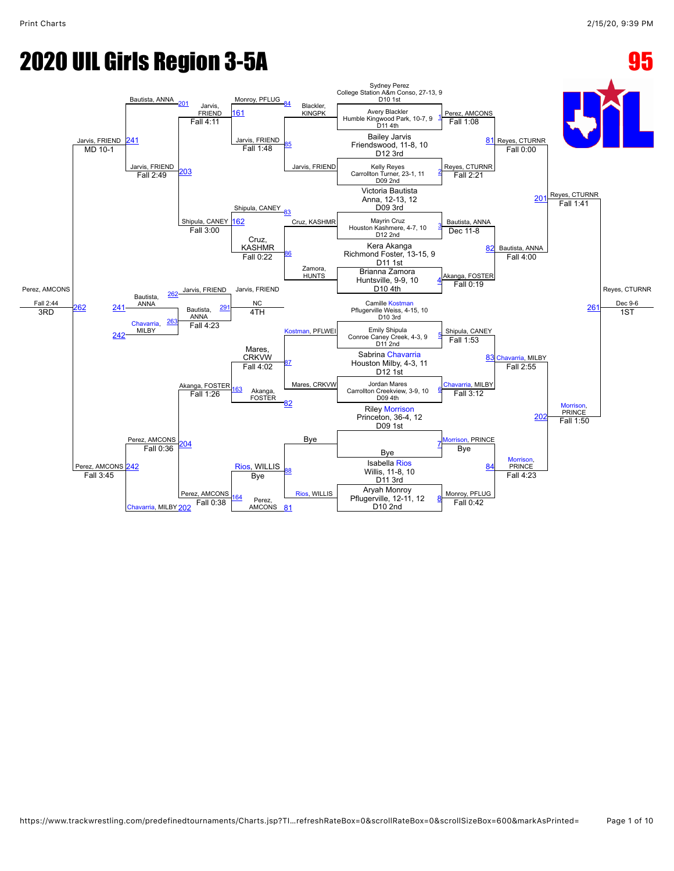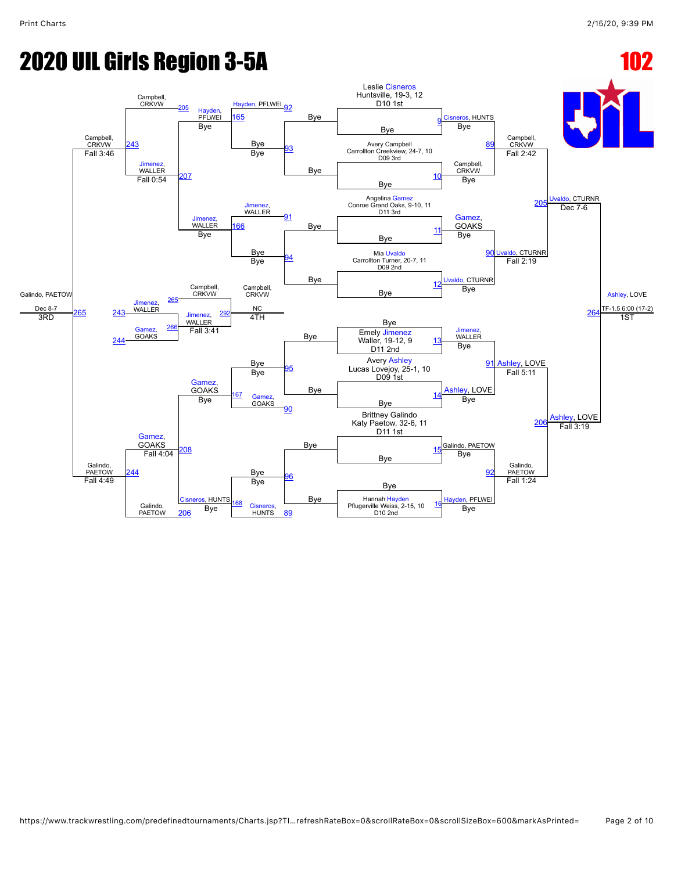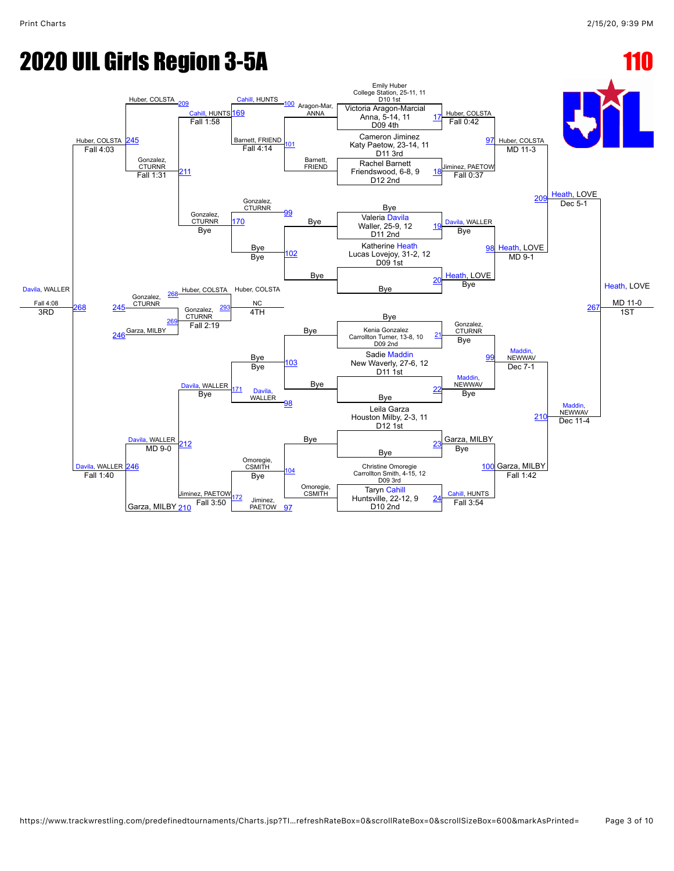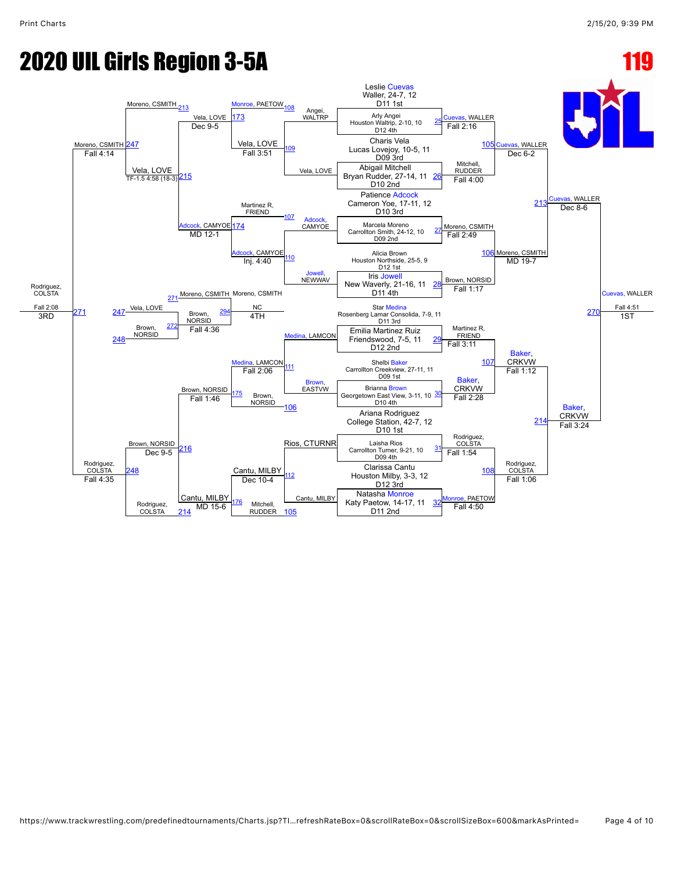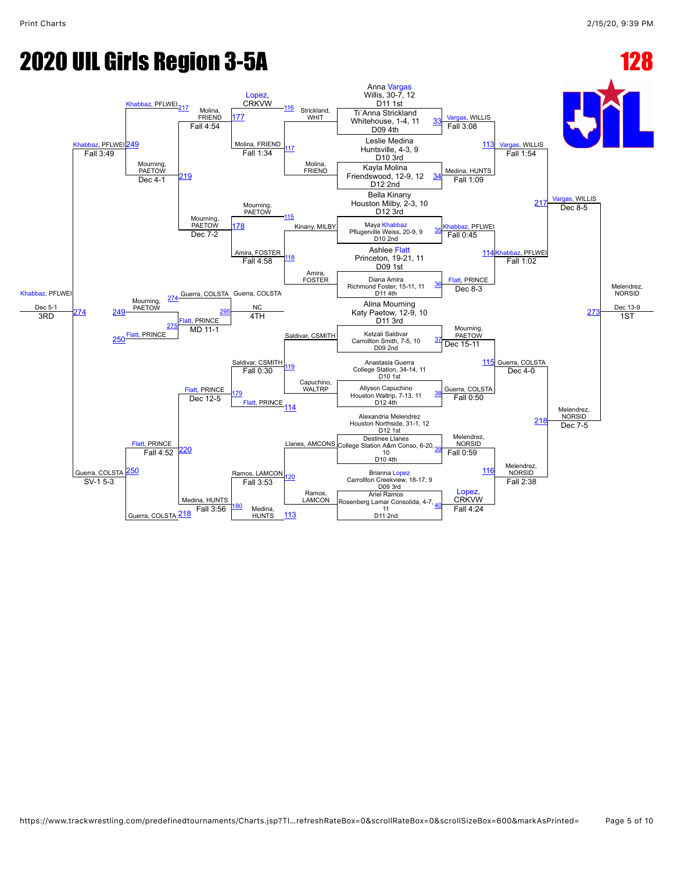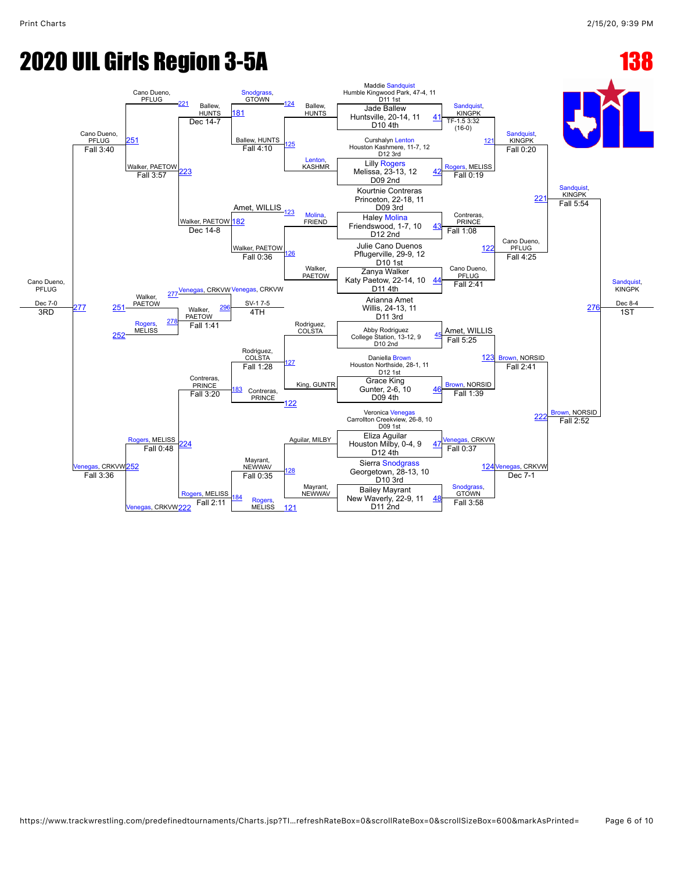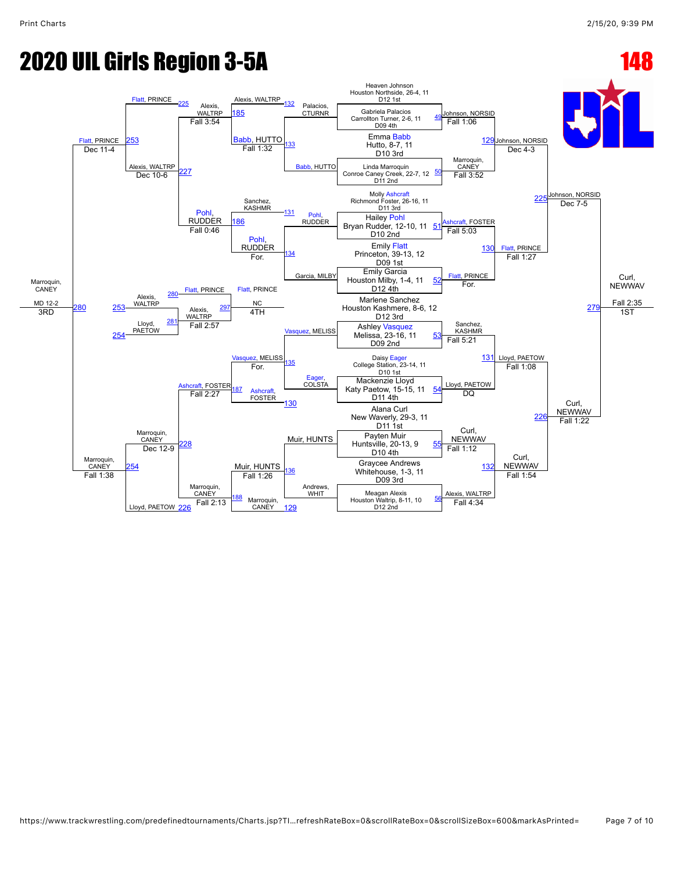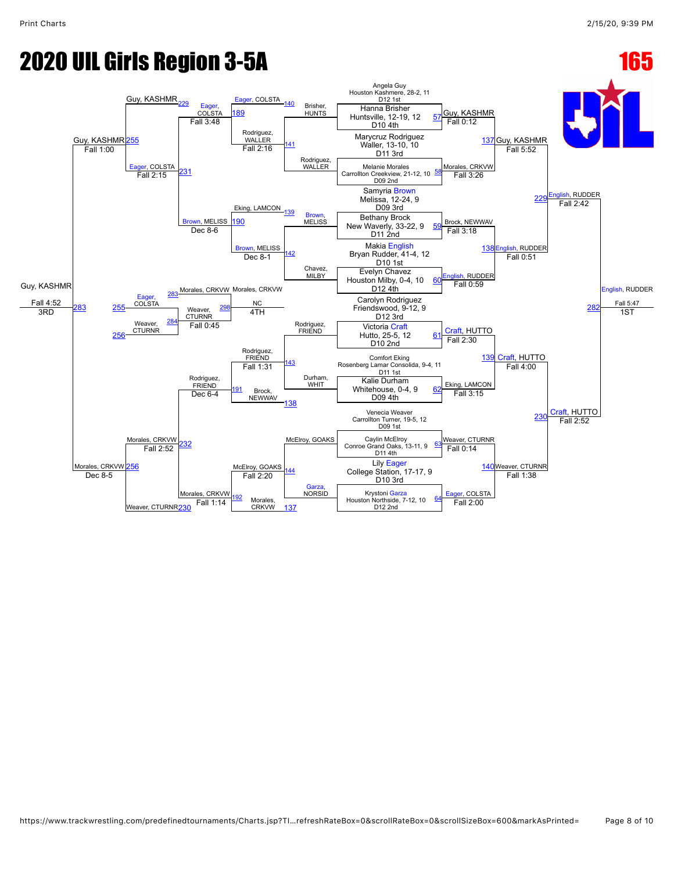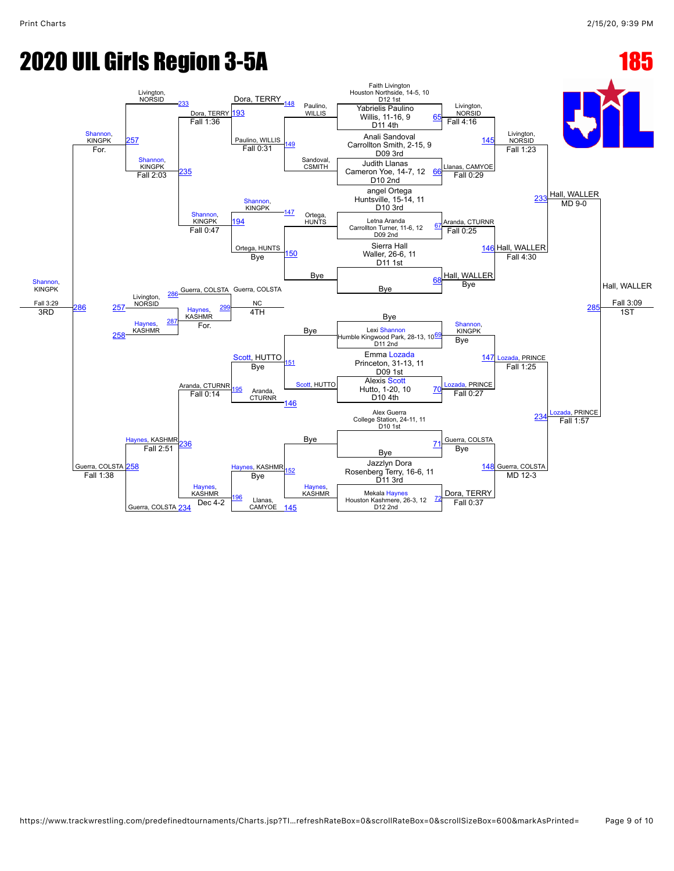